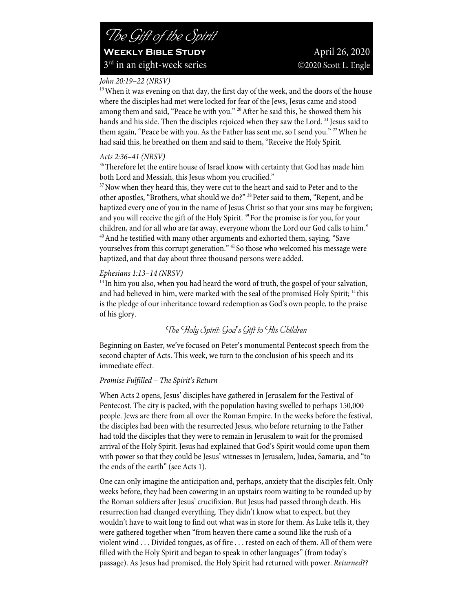## *John 20:19–22 (NRSV)*

<sup>19</sup> When it was evening on that day, the first day of the week, and the doors of the house where the disciples had met were locked for fear of the Jews, Jesus came and stood among them and said, "Peace be with you." <sup>20</sup> After he said this, he showed them his hands and his side. Then the disciples rejoiced when they saw the Lord. <sup>21</sup> Jesus said to them again, "Peace be with you. As the Father has sent me, so I send you." <sup>22</sup> When he had said this, he breathed on them and said to them, "Receive the Holy Spirit.

## *Acts 2:36–41 (NRSV)*

<sup>36</sup>Therefore let the entire house of Israel know with certainty that God has made him both Lord and Messiah, this Jesus whom you crucified."

<sup>37</sup> Now when they heard this, they were cut to the heart and said to Peter and to the other apostles, "Brothers, what should we do?" 38Peter said to them, "Repent, and be baptized every one of you in the name of Jesus Christ so that your sins may be forgiven; and you will receive the gift of the Holy Spirit.<sup>39</sup> For the promise is for you, for your children, and for all who are far away, everyone whom the Lord our God calls to him."<br><sup>40</sup>And he testified with many other arguments and exhorted them, saying, "Save yourselves from this corrupt generation." 41 So those who welcomed his message were baptized, and that day about three thousand persons were added.

## *Ephesians 1:13–14 (NRSV)*

<sup>13</sup> In him you also, when you had heard the word of truth, the gospel of your salvation, and had believed in him, were marked with the seal of the promised Holy Spirit; <sup>14</sup> this is the pledge of our inheritance toward redemption as God's own people, to the praise of his glory.

# *The Holy Spirit: God's Gift to His Children*

Beginning on Easter, we've focused on Peter's monumental Pentecost speech from the second chapter of Acts. This week, we turn to the conclusion of his speech and its immediate effect.

## *Promise Fulfilled – The Spirit's Return*

When Acts 2 opens, Jesus' disciples have gathered in Jerusalem for the Festival of Pentecost. The city is packed, with the population having swelled to perhaps 150,000 people. Jews are there from all over the Roman Empire. In the weeks before the festival, the disciples had been with the resurrected Jesus, who before returning to the Father had told the disciples that they were to remain in Jerusalem to wait for the promised arrival of the Holy Spirit. Jesus had explained that God's Spirit would come upon them with power so that they could be Jesus' witnesses in Jerusalem, Judea, Samaria, and "to the ends of the earth" (see Acts 1).

One can only imagine the anticipation and, perhaps, anxiety that the disciples felt. Only weeks before, they had been cowering in an upstairs room waiting to be rounded up by the Roman soldiers after Jesus' crucifixion. But Jesus had passed through death. His resurrection had changed everything. They didn't know what to expect, but they wouldn't have to wait long to find out what was in store for them. As Luke tells it, they were gathered together when "from heaven there came a sound like the rush of a violent wind . . . Divided tongues, as of fire . . . rested on each of them. All of them were filled with the Holy Spirit and began to speak in other languages" (from today's passage). As Jesus had promised, the Holy Spirit had returned with power. *Returned??*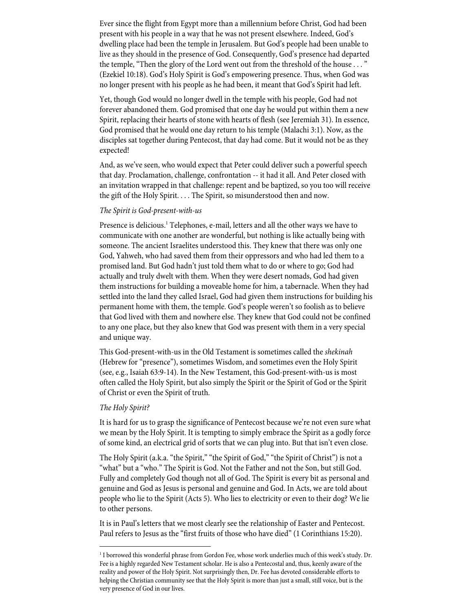Ever since the flight from Egypt more than a millennium before Christ, God had been present with his people in a way that he was not present elsewhere. Indeed, God's dwelling place had been the temple in Jerusalem. But God's people had been unable to live as they should in the presence of God. Consequently, God's presence had departed the temple, "Then the glory of the Lord went out from the threshold of the house . . . " (Ezekiel 10:18). God's Holy Spirit is God's empowering presence. Thus, when God was no longer present with his people as he had been, it meant that God's Spirit had left.

Yet, though God would no longer dwell in the temple with his people, God had not forever abandoned them. God promised that one day he would put within them a new Spirit, replacing their hearts of stone with hearts of flesh (see Jeremiah 31). In essence, God promised that he would one day return to his temple (Malachi 3:1). Now, as the disciples sat together during Pentecost, that day had come. But it would not be as they expected!

And, as we've seen, who would expect that Peter could deliver such a powerful speech that day. Proclamation, challenge, confrontation -- it had it all. And Peter closed with an invitation wrapped in that challenge: repent and be baptized, so you too will receive the gift of the Holy Spirit. . . . The Spirit, so misunderstood then and now.

#### *The Spirit is God-present-with-us*

Presence is delicious.<sup>1</sup> Telephones, e-mail, letters and all the other ways we have to communicate with one another are wonderful, but nothing is like actually being with someone. The ancient Israelites understood this. They knew that there was only one God, Yahweh, who had saved them from their oppressors and who had led them to a promised land. But God hadn't just told them what to do or where to go; God had actually and truly dwelt with them. When they were desert nomads, God had given them instructions for building a moveable home for him, a tabernacle. When they had settled into the land they called Israel, God had given them instructions for building his permanent home with them, the temple. God's people weren't so foolish as to believe that God lived with them and nowhere else. They knew that God could not be confined to any one place, but they also knew that God was present with them in a very special and unique way.

This God-present-with-us in the Old Testament is sometimes called the *shekinah* (Hebrew for "presence"), sometimes Wisdom, and sometimes even the Holy Spirit (see, e.g., Isaiah 63:9-14). In the New Testament, this God-present-with-us is most often called the Holy Spirit, but also simply the Spirit or the Spirit of God or the Spirit of Christ or even the Spirit of truth.

#### *The Holy Spirit?*

It is hard for us to grasp the significance of Pentecost because we're not even sure what we mean by the Holy Spirit. It is tempting to simply embrace the Spirit as a godly force of some kind, an electrical grid of sorts that we can plug into. But that isn't even close.

The Holy Spirit (a.k.a. "the Spirit," "the Spirit of God," "the Spirit of Christ") is not a "what" but a "who." The Spirit is God. Not the Father and not the Son, but still God. Fully and completely God though not all of God. The Spirit is every bit as personal and genuine and God as Jesus is personal and genuine and God. In Acts, we are told about people who lie to the Spirit (Acts 5). Who lies to electricity or even to their dog? We lie to other persons.

It is in Paul's letters that we most clearly see the relationship of Easter and Pentecost. Paul refers to Jesus as the "first fruits of those who have died" (1 Corinthians 15:20).

<sup>1</sup> I borrowed this wonderful phrase from Gordon Fee, whose work underlies much of this week's study. Dr. Fee is a highly regarded New Testament scholar. He is also a Pentecostal and, thus, keenly aware of the reality and power of the Holy Spirit. Not surprisingly then, Dr. Fee has devoted considerable efforts to helping the Christian community see that the Holy Spirit is more than just a small, still voice, but is the very presence of God in our lives.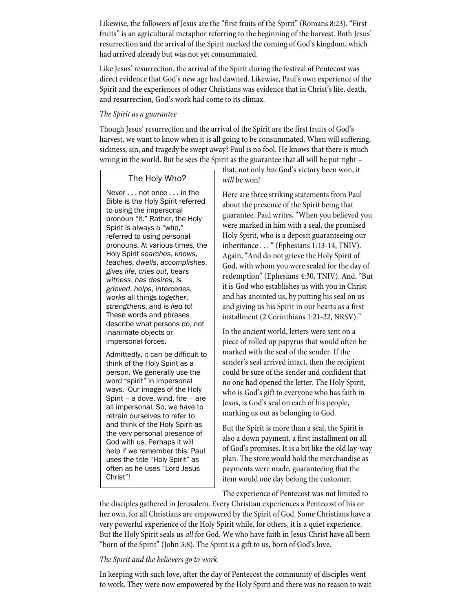Likewise, the followers of Jesus are the "first fruits of the Spirit" (Romans 8:23). "First fruits" is an agricultural metaphor referring to the beginning of the harvest. Both Jesus' resurrection and the arrival of the Spirit marked the coming of God's kingdom, which had arrived already but was not yet consummated.

Like Jesus' resurrection, the arrival of the Spirit during the festival of Pentecost was direct evidence that God's new age had dawned. Likewise, Paul's own experience of the Spirit and the experiences of other Christians was evidence that in Christ's life, death, and resurrection, God's work had come to its climax.

### *The Spirit as a guarantee*

Though Jesus' resurrection and the arrival of the Spirit are the first fruits of God's harvest, we want to know when it is all going to be consummated. When will suffering, sickness, sin, and tragedy be swept away? Paul is no fool. He knows that there is much wrong in the world. But he sees the Spirit as the guarantee that all will be put right –

## The Holy Who?

Never . . . not once . . . in the Bible is the Holy Spirit referred to using the impersonal pronoun "it." Rather, the Holy Spirit is always a "who," referred to using personal pronouns. At various times, the Holy Spirit *searches*, *knows*, *teaches*, *dwells*, *accomplishes*, *gives life*, *cries out*, *bears witness*, *has desires*, *is grieved*, *helps*, *intercedes*, *works* all things *together*, *strengthens*, and is *lied to*! These words and phrases describe what persons do, not inanimate objects or impersonal forces.

Admittedly, it can be difficult to think of the Holy Spirit as a person. We generally use the word "spirit" in impersonal ways. Our images of the Holy Spirit – a dove, wind, fire – are all impersonal. So, we have to retrain ourselves to refer to and think of the Holy Spirit as the very personal presence of God with us. Perhaps it will help if we remember this: Paul uses the title "Holy Spirit" as often as he uses "Lord Jesus Christ"!

that, not only *has* God's victory been won, it *will* be won!

Here are three striking statements from Paul about the presence of the Spirit being that guarantee. Paul writes, "When you believed you were marked in him with a seal, the promised Holy Spirit, who is a deposit guaranteeing our inheritance . . . " (Ephesians 1:13-14, TNIV). Again, "And do not grieve the Holy Spirit of God, with whom you were sealed for the day of redemption" (Ephesians 4:30, TNIV). And, "But it is God who establishes us with you in Christ and has anointed us, by putting his seal on us and giving us his Spirit in our hearts as a first installment (2 Corinthians 1:21-22, NRSV)."

In the ancient world, letters were sent on a piece of rolled up papyrus that would often be marked with the seal of the sender. If the sender's seal arrived intact, then the recipient could be sure of the sender and confident that no one had opened the letter. The Holy Spirit, who is God's gift to everyone who has faith in Jesus, is God's seal on each of his people, marking us out as belonging to God.

But the Spirit is more than a seal, the Spirit is also a down payment, a first installment on all of God's promises. It is a bit like the old lay-way plan. The store would hold the merchandise as payments were made, guaranteeing that the item would one day belong the customer.

The experience of Pentecost was not limited to

the disciples gathered in Jerusalem. Every Christian experiences a Pentecost of his or her own, for all Christians are empowered by the Spirit of God. Some Christians have a very powerful experience of the Holy Spirit while, for others, it is a quiet experience. But the Holy Spirit seals us *all* for God. We who have faith in Jesus Christ have all been "born of the Spirit" (John 3:8). The Spirit is a gift to us, born of God's love.

### *The Spirit and the believers go to work*

In keeping with such love, after the day of Pentecost the community of disciples went to work. They were now empowered by the Holy Spirit and there was no reason to wait